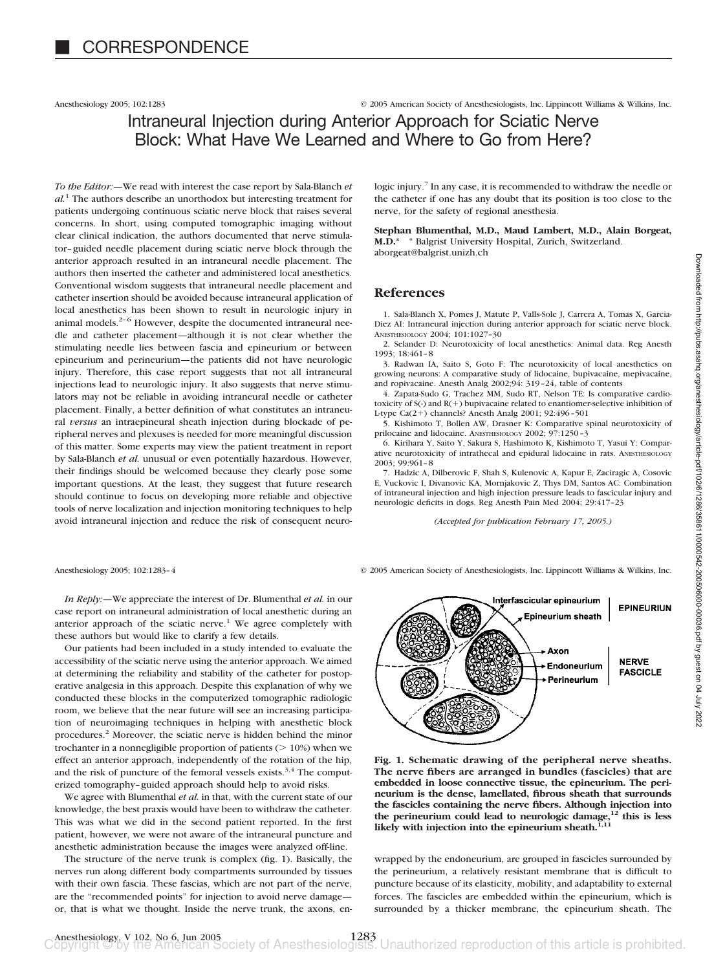Anesthesiology 2005; 102:1283 © 2005 American Society of Anesthesiologists, Inc. Lippincott Williams & Wilkins, Inc.

## Intraneural Injection during Anterior Approach for Sciatic Nerve Block: What Have We Learned and Where to Go from Here?

*To the Editor:—*We read with interest the case report by Sala-Blanch *et al.*<sup>1</sup> The authors describe an unorthodox but interesting treatment for patients undergoing continuous sciatic nerve block that raises several concerns. In short, using computed tomographic imaging without clear clinical indication, the authors documented that nerve stimulator–guided needle placement during sciatic nerve block through the anterior approach resulted in an intraneural needle placement. The authors then inserted the catheter and administered local anesthetics. Conventional wisdom suggests that intraneural needle placement and catheter insertion should be avoided because intraneural application of local anesthetics has been shown to result in neurologic injury in animal models.<sup>2-6</sup> However, despite the documented intraneural needle and catheter placement—although it is not clear whether the stimulating needle lies between fascia and epineurium or between epineurium and perineurium—the patients did not have neurologic injury. Therefore, this case report suggests that not all intraneural injections lead to neurologic injury. It also suggests that nerve stimulators may not be reliable in avoiding intraneural needle or catheter placement. Finally, a better definition of what constitutes an intraneural *versus* an intraepineural sheath injection during blockade of peripheral nerves and plexuses is needed for more meaningful discussion of this matter. Some experts may view the patient treatment in report by Sala-Blanch *et al.* unusual or even potentially hazardous. However, their findings should be welcomed because they clearly pose some important questions. At the least, they suggest that future research should continue to focus on developing more reliable and objective tools of nerve localization and injection monitoring techniques to help avoid intraneural injection and reduce the risk of consequent neuro-

logic injury.<sup>7</sup> In any case, it is recommended to withdraw the needle or the catheter if one has any doubt that its position is too close to the nerve, for the safety of regional anesthesia.

**Stephan Blumenthal, M.D., Maud Lambert, M.D., Alain Borgeat, M.D.\*** \* Balgrist University Hospital, Zurich, Switzerland. aborgeat@balgrist.unizh.ch

## **References**

1. Sala-Blanch X, Pomes J, Matute P, Valls-Sole J, Carrera A, Tomas X, Garcia-Diez AI: Intraneural injection during anterior approach for sciatic nerve block. ANESTHESIOLOGY 2004; 101:1027–30

2. Selander D: Neurotoxicity of local anesthetics: Animal data. Reg Anesth 1993; 18:461–8

3. Radwan IA, Saito S, Goto F: The neurotoxicity of local anesthetics on growing neurons: A comparative study of lidocaine, bupivacaine, mepivacaine, and ropivacaine. Anesth Analg 2002;94: 319–24, table of contents

4. Zapata-Sudo G, Trachez MM, Sudo RT, Nelson TE: Is comparative cardiotoxicity of  $S(.)$  and  $R(+)$  bupivacaine related to enantiomer-selective inhibition of L-type Ca(2+) channels? Anesth Analg 2001; 92:496-501

5. Kishimoto T, Bollen AW, Drasner K: Comparative spinal neurotoxicity of prilocaine and lidocaine. ANESTHESIOLOGY 2002; 97:1250-3

6. Kirihara Y, Saito Y, Sakura S, Hashimoto K, Kishimoto T, Yasui Y: Comparative neurotoxicity of intrathecal and epidural lidocaine in rats. ANESTHESIOLOGY 2003; 99:961–8

7. Hadzic A, Dilberovic F, Shah S, Kulenovic A, Kapur E, Zaciragic A, Cosovic E, Vuckovic I, Divanovic KA, Mornjakovic Z, Thys DM, Santos AC: Combination of intraneural injection and high injection pressure leads to fascicular injury and neurologic deficits in dogs. Reg Anesth Pain Med 2004; 29:417–23

*(Accepted for publication February 17, 2005.)*

*In Reply:—*We appreciate the interest of Dr. Blumenthal *et al.* in our case report on intraneural administration of local anesthetic during an anterior approach of the sciatic nerve.<sup>1</sup> We agree completely with these authors but would like to clarify a few details.

Our patients had been included in a study intended to evaluate the accessibility of the sciatic nerve using the anterior approach. We aimed at determining the reliability and stability of the catheter for postoperative analgesia in this approach. Despite this explanation of why we conducted these blocks in the computerized tomographic radiologic room, we believe that the near future will see an increasing participation of neuroimaging techniques in helping with anesthetic block procedures.2 Moreover, the sciatic nerve is hidden behind the minor trochanter in a nonnegligible proportion of patients  $(>10%)$  when we effect an anterior approach, independently of the rotation of the hip, and the risk of puncture of the femoral vessels exists.<sup>3,4</sup> The computerized tomography–guided approach should help to avoid risks.

We agree with Blumenthal *et al.* in that, with the current state of our knowledge, the best praxis would have been to withdraw the catheter. This was what we did in the second patient reported. In the first patient, however, we were not aware of the intraneural puncture and anesthetic administration because the images were analyzed off-line.

The structure of the nerve trunk is complex (fig. 1). Basically, the nerves run along different body compartments surrounded by tissues with their own fascia. These fascias, which are not part of the nerve, are the "recommended points" for injection to avoid nerve damage or, that is what we thought. Inside the nerve trunk, the axons, en-

Anesthesiology 2005; 102:1283–4 © 2005 American Society of Anesthesiologists, Inc. Lippincott Williams & Wilkins, Inc.



**Fig. 1. Schematic drawing of the peripheral nerve sheaths. The nerve fibers are arranged in bundles (fascicles) that are embedded in loose connective tissue, the epineurium. The perineurium is the dense, lamellated, fibrous sheath that surrounds the fascicles containing the nerve fibers. Although injection into the perineurium could lead to neurologic damage,12 this is less** likely with injection into the epineurium sheath.<sup>1,11</sup>

wrapped by the endoneurium, are grouped in fascicles surrounded by the perineurium, a relatively resistant membrane that is difficult to puncture because of its elasticity, mobility, and adaptability to external forces. The fascicles are embedded within the epineurium, which is surrounded by a thicker membrane, the epineurium sheath. The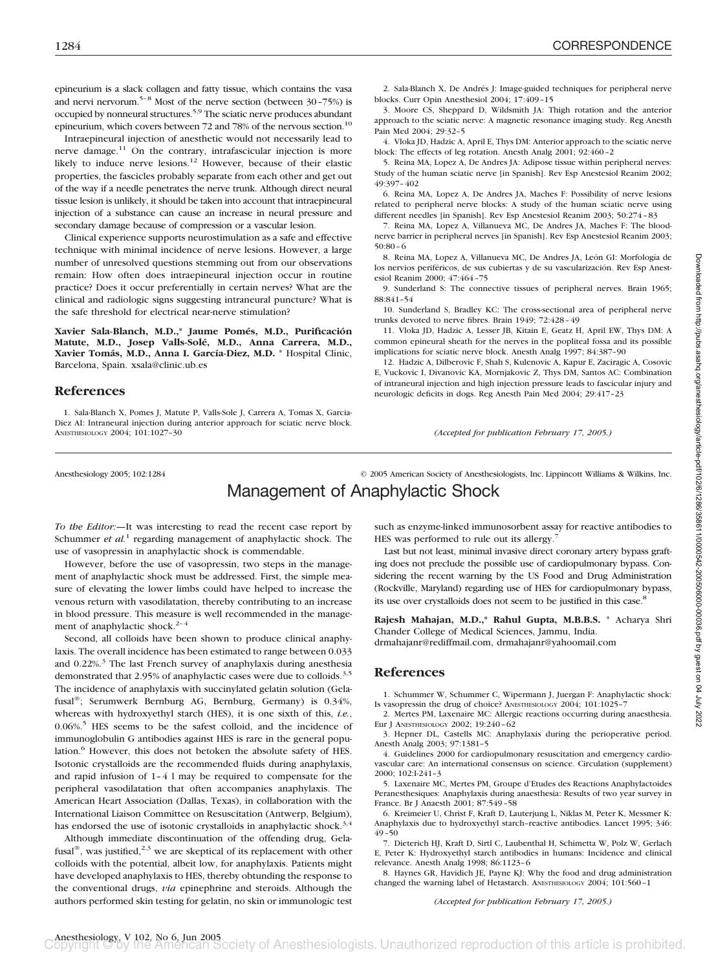epineurium is a slack collagen and fatty tissue, which contains the vasa and nervi nervorum.<sup>5–8</sup> Most of the nerve section (between  $30-75%$ ) is occupied by nonneural structures.5,9 The sciatic nerve produces abundant epineurium, which covers between 72 and 78% of the nervous section.<sup>10</sup>

Intraepineural injection of anesthetic would not necessarily lead to nerve damage.<sup>11</sup> On the contrary, intrafascicular injection is more likely to induce nerve lesions.<sup>12</sup> However, because of their elastic properties, the fascicles probably separate from each other and get out of the way if a needle penetrates the nerve trunk. Although direct neural tissue lesion is unlikely, it should be taken into account that intraepineural injection of a substance can cause an increase in neural pressure and secondary damage because of compression or a vascular lesion.

Clinical experience supports neurostimulation as a safe and effective technique with minimal incidence of nerve lesions. However, a large number of unresolved questions stemming out from our observations remain: How often does intraepineural injection occur in routine practice? Does it occur preferentially in certain nerves? What are the clinical and radiologic signs suggesting intraneural puncture? What is the safe threshold for electrical near-nerve stimulation?

**Xavier Sala-Blanch, M.D.,\* Jaume Pomés, M.D., Purificación Matute, M.D., Josep Valls-Solé, M.D., Anna Carrera, M.D., Xavier Tomás, M.D., Anna I. García-Diez, M.D.** \* Hospital Clínic, Barcelona, Spain. xsala@clinic.ub.es

## **References**

1. Sala-Blanch X, Pomes J, Matute P, Valls-Sole J, Carrera A, Tomas X, Garcia-Diez AI: Intraneural injection during anterior approach for sciatic nerve block. ANESTHESIOLOGY 2004; 101:1027–30

2. Sala-Blanch X, De Andrés J: Image-guided techniques for peripheral nerve blocks. Curr Opin Anesthesiol 2004; 17:409–15

3. Moore CS, Sheppard D, Wildsmith JA: Thigh rotation and the anterior approach to the sciatic nerve: A magnetic resonance imaging study. Reg Anesth Pain Med 2004; 29:32–5

4. Vloka JD, Hadzic A, April E, Thys DM: Anterior approach to the sciatic nerve block: The effects of leg rotation. Anesth Analg 2001; 92:460–2

5. Reina MA, Lopez A, De Andres JA: Adipose tissue within peripheral nerves: Study of the human sciatic nerve [in Spanish]. Rev Esp Anestesiol Reanim 2002; 49:397–402

6. Reina MA, Lopez A, De Andres JA, Maches F: Possibility of nerve lesions related to peripheral nerve blocks: A study of the human sciatic nerve using different needles [in Spanish]. Rev Esp Anestesiol Reanim 2003; 50:274–83

7. Reina MA, Lopez A, Villanueva MC, De Andres JA, Maches F: The bloodnerve barrier in peripheral nerves [in Spanish]. Rev Esp Anestesiol Reanim 2003; 50:80–6

8. Reina MA, Lopez A, Villanueva MC, De Andres JA, León GI: Morfología de los nervios periféricos, de sus cubiertas y de su vascularización. Rev Esp Anestesiol Reanim 2000; 47:464–75

9. Sunderland S: The connective tissues of peripheral nerves. Brain 1965; 88:841–54

10. Sunderland S, Bradley KC: The cross-sectional area of peripheral nerve trunks devoted to nerve fibres. Brain 1949; 72:428–49

11. Vloka JD, Hadzic A, Lesser JB, Kitain E, Geatz H, April EW, Thys DM: A common epineural sheath for the nerves in the popliteal fossa and its possible implications for sciatic nerve block. Anesth Analg 1997; 84:387–90

12. Hadzic A, Dilberovic F, Shah S, Kulenovic A, Kapur E, Zaciragic A, Cosovic E, Vuckovic I, Divanovic KA, Mornjakovic Z, Thys DM, Santos AC: Combination of intraneural injection and high injection pressure leads to fascicular injury and neurologic deficits in dogs. Reg Anesth Pain Med 2004; 29:417–23

*(Accepted for publication February 17, 2005.)*

Anesthesiology 2005; 102:1284 © 2005 American Society of Anesthesiologists, Inc. Lippincott Williams & Wilkins, Inc.

# Management of Anaphylactic Shock

*To the Editor:—*It was interesting to read the recent case report by Schummer *et al.*<sup>1</sup> regarding management of anaphylactic shock. The use of vasopressin in anaphylactic shock is commendable.

However, before the use of vasopressin, two steps in the management of anaphylactic shock must be addressed. First, the simple measure of elevating the lower limbs could have helped to increase the venous return with vasodilatation, thereby contributing to an increase in blood pressure. This measure is well recommended in the management of anaphylactic shock.<sup>2-4</sup>

Second, all colloids have been shown to produce clinical anaphylaxis. The overall incidence has been estimated to range between 0.033 and  $0.22\%$ <sup>3</sup>. The last French survey of anaphylaxis during anesthesia demonstrated that 2.95% of anaphylactic cases were due to colloids.<sup>3,5</sup> The incidence of anaphylaxis with succinylated gelatin solution (Gelafusal®; Serumwerk Bernburg AG, Bernburg, Germany) is 0.34%, whereas with hydroxyethyl starch (HES), it is one sixth of this, *i.e.*, 0.06%.5 HES seems to be the safest colloid, and the incidence of immunoglobulin G antibodies against HES is rare in the general population.<sup>6</sup> However, this does not betoken the absolute safety of HES. Isotonic crystalloids are the recommended fluids during anaphylaxis, and rapid infusion of 1–4 l may be required to compensate for the peripheral vasodilatation that often accompanies anaphylaxis. The American Heart Association (Dallas, Texas), in collaboration with the International Liaison Committee on Resuscitation (Antwerp, Belgium), has endorsed the use of isotonic crystalloids in anaphylactic shock.<sup>3,4</sup>

Although immediate discontinuation of the offending drug, Gelafusal<sup>®</sup>, was justified,<sup>2,3</sup> we are skeptical of its replacement with other colloids with the potential, albeit low, for anaphylaxis. Patients might have developed anaphylaxis to HES, thereby obtunding the response to the conventional drugs, *via* epinephrine and steroids. Although the authors performed skin testing for gelatin, no skin or immunologic test

such as enzyme-linked immunosorbent assay for reactive antibodies to HES was performed to rule out its allergy.<sup>7</sup>

Last but not least, minimal invasive direct coronary artery bypass grafting does not preclude the possible use of cardiopulmonary bypass. Considering the recent warning by the US Food and Drug Administration (Rockville, Maryland) regarding use of HES for cardiopulmonary bypass, its use over crystalloids does not seem to be justified in this case.<sup>8</sup>

**Rajesh Mahajan, M.D.,\* Rahul Gupta, M.B.B.S.** \* Acharya Shri Chander College of Medical Sciences, Jammu, India. drmahajanr@rediffmail.com, drmahajanr@yahoomail.com

## **References**

1. Schummer W, Schummer C, Wipermann J, Juergan F: Anaphylactic shock: Is vasopressin the drug of choice? ANESTHESIOLOGY 2004; 101:1025–7

2. Mertes PM, Laxenaire MC: Allergic reactions occurring during anaesthesia. Eur J ANESTHESIOLOGY 2002; 19:240–62

3. Hepner DL, Castells MC: Anaphylaxis during the perioperative period. Anesth Analg 2003; 97:1381–5

4. Guidelines 2000 for cardiopulmonary resuscitation and emergency cardiovascular care: An international consensus on science. Circulation (supplement) 2000; 102:I-241–3

5. Laxenaire MC, Mertes PM, Groupe d'Etudes des Reactions Anaphylactoides Peranesthesiques: Anaphylaxis during anaesthesia: Results of two year survey in France. Br J Anaesth 2001; 87:549–58

6. Kreimeier U, Christ F, Kraft D, Lauterjung L, Niklas M, Peter K, Messmer K: Anaphylaxis due to hydroxyethyl starch–reactive antibodies. Lancet 1995; 346: 49–50

7. Dieterich HJ, Kraft D, Sirtl C, Laubenthal H, Schimetta W, Polz W, Gerlach E, Peter K: Hydroxyethyl starch antibodies in humans: Incidence and clinical relevance. Anesth Analg 1998; 86:1123–6

8. Haynes GR, Havidich JE, Payne KJ: Why the food and drug administration changed the warning label of Hetastarch. ANESTHESIOLOGY 2004; 101:560–1

### *(Accepted for publication February 17, 2005.)*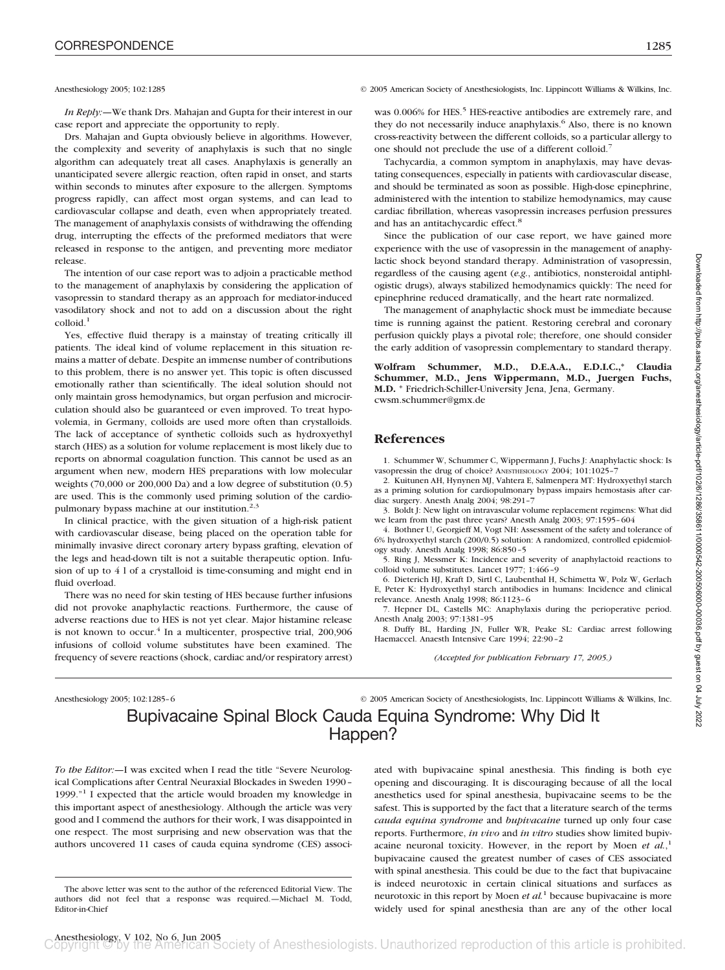*In Reply:—*We thank Drs. Mahajan and Gupta for their interest in our case report and appreciate the opportunity to reply.

Drs. Mahajan and Gupta obviously believe in algorithms. However, the complexity and severity of anaphylaxis is such that no single algorithm can adequately treat all cases. Anaphylaxis is generally an unanticipated severe allergic reaction, often rapid in onset, and starts within seconds to minutes after exposure to the allergen. Symptoms progress rapidly, can affect most organ systems, and can lead to cardiovascular collapse and death, even when appropriately treated. The management of anaphylaxis consists of withdrawing the offending drug, interrupting the effects of the preformed mediators that were released in response to the antigen, and preventing more mediator release.

The intention of our case report was to adjoin a practicable method to the management of anaphylaxis by considering the application of vasopressin to standard therapy as an approach for mediator-induced vasodilatory shock and not to add on a discussion about the right colloid.<sup>1</sup>

Yes, effective fluid therapy is a mainstay of treating critically ill patients. The ideal kind of volume replacement in this situation remains a matter of debate. Despite an immense number of contributions to this problem, there is no answer yet. This topic is often discussed emotionally rather than scientifically. The ideal solution should not only maintain gross hemodynamics, but organ perfusion and microcirculation should also be guaranteed or even improved. To treat hypovolemia, in Germany, colloids are used more often than crystalloids. The lack of acceptance of synthetic colloids such as hydroxyethyl starch (HES) as a solution for volume replacement is most likely due to reports on abnormal coagulation function. This cannot be used as an argument when new, modern HES preparations with low molecular weights (70,000 or 200,000 Da) and a low degree of substitution (0.5) are used. This is the commonly used priming solution of the cardiopulmonary bypass machine at our institution.<sup>2,3</sup>

In clinical practice, with the given situation of a high-risk patient with cardiovascular disease, being placed on the operation table for minimally invasive direct coronary artery bypass grafting, elevation of the legs and head-down tilt is not a suitable therapeutic option. Infusion of up to 4 l of a crystalloid is time-consuming and might end in fluid overload.

There was no need for skin testing of HES because further infusions did not provoke anaphylactic reactions. Furthermore, the cause of adverse reactions due to HES is not yet clear. Major histamine release is not known to occur.<sup>4</sup> In a multicenter, prospective trial, 200,906 infusions of colloid volume substitutes have been examined. The frequency of severe reactions (shock, cardiac and/or respiratory arrest)

Anesthesiology 2005; 102:1285 © 2005 American Society of Anesthesiologists, Inc. Lippincott Williams & Wilkins, Inc.

was 0.006% for HES.<sup>5</sup> HES-reactive antibodies are extremely rare, and they do not necessarily induce anaphylaxis.<sup>6</sup> Also, there is no known cross-reactivity between the different colloids, so a particular allergy to one should not preclude the use of a different colloid.<sup>7</sup>

Tachycardia, a common symptom in anaphylaxis, may have devastating consequences, especially in patients with cardiovascular disease, and should be terminated as soon as possible. High-dose epinephrine, administered with the intention to stabilize hemodynamics, may cause cardiac fibrillation, whereas vasopressin increases perfusion pressures and has an antitachycardic effect.<sup>8</sup>

Since the publication of our case report, we have gained more experience with the use of vasopressin in the management of anaphylactic shock beyond standard therapy. Administration of vasopressin, regardless of the causing agent (*e.g.*, antibiotics, nonsteroidal antiphlogistic drugs), always stabilized hemodynamics quickly: The need for epinephrine reduced dramatically, and the heart rate normalized.

The management of anaphylactic shock must be immediate because time is running against the patient. Restoring cerebral and coronary perfusion quickly plays a pivotal role; therefore, one should consider the early addition of vasopressin complementary to standard therapy.

**Wolfram Schummer, M.D., D.E.A.A., E.D.I.C.,\* Claudia Schummer, M.D., Jens Wippermann, M.D., Juergen Fuchs, M.D.** \* Friedrich-Schiller-University Jena, Jena, Germany. cwsm.schummer@gmx.de

## **References**

1. Schummer W, Schummer C, Wippermann J, Fuchs J: Anaphylactic shock: Is vasopressin the drug of choice? ANESTHESIOLOGY 2004: 101:1025-

2. Kuitunen AH, Hynynen MJ, Vahtera E, Salmenpera MT: Hydroxyethyl starch as a priming solution for cardiopulmonary bypass impairs hemostasis after cardiac surgery. Anesth Analg 2004; 98:291–7

3. Boldt J: New light on intravascular volume replacement regimens: What did we learn from the past three years? Anesth Analg 2003; 97:1595–604

4. Bothner U, Georgieff M, Vogt NH: Assessment of the safety and tolerance of 6% hydroxyethyl starch (200/0.5) solution: A randomized, controlled epidemiology study. Anesth Analg 1998; 86:850–5

5. Ring J, Messmer K: Incidence and severity of anaphylactoid reactions to colloid volume substitutes. Lancet 1977; 1:466–9

6. Dieterich HJ, Kraft D, Sirtl C, Laubenthal H, Schimetta W, Polz W, Gerlach E, Peter K: Hydroxyethyl starch antibodies in humans: Incidence and clinical relevance. Anesth Analg 1998; 86:1123–6

7. Hepner DL, Castells MC: Anaphylaxis during the perioperative period. Anesth Analg 2003; 97:1381–95

8. Duffy BL, Harding JN, Fuller WR, Peake SL: Cardiac arrest following Haemaccel. Anaesth Intensive Care 1994; 22:90–2

*(Accepted for publication February 17, 2005.)*

Anesthesiology 2005; 102:1285–6 © 2005 American Society of Anesthesiologists, Inc. Lippincott Williams & Wilkins, Inc.

## Bupivacaine Spinal Block Cauda Equina Syndrome: Why Did It Happen?

*To the Editor:—*I was excited when I read the title "Severe Neurological Complications after Central Neuraxial Blockades in Sweden 1990– 1999."1 I expected that the article would broaden my knowledge in this important aspect of anesthesiology. Although the article was very good and I commend the authors for their work, I was disappointed in one respect. The most surprising and new observation was that the authors uncovered 11 cases of cauda equina syndrome (CES) associ-

ated with bupivacaine spinal anesthesia. This finding is both eye opening and discouraging. It is discouraging because of all the local anesthetics used for spinal anesthesia, bupivacaine seems to be the safest. This is supported by the fact that a literature search of the terms *cauda equina syndrome* and *bupivacaine* turned up only four case reports. Furthermore, *in vivo* and *in vitro* studies show limited bupivacaine neuronal toxicity. However, in the report by Moen *et al.*, 1 bupivacaine caused the greatest number of cases of CES associated with spinal anesthesia. This could be due to the fact that bupivacaine is indeed neurotoxic in certain clinical situations and surfaces as neurotoxic in this report by Moen *et al.*<sup>1</sup> because bupivacaine is more widely used for spinal anesthesia than are any of the other local

The above letter was sent to the author of the referenced Editorial View. The authors did not feel that a response was required.—Michael M. Todd, Editor-in-Chief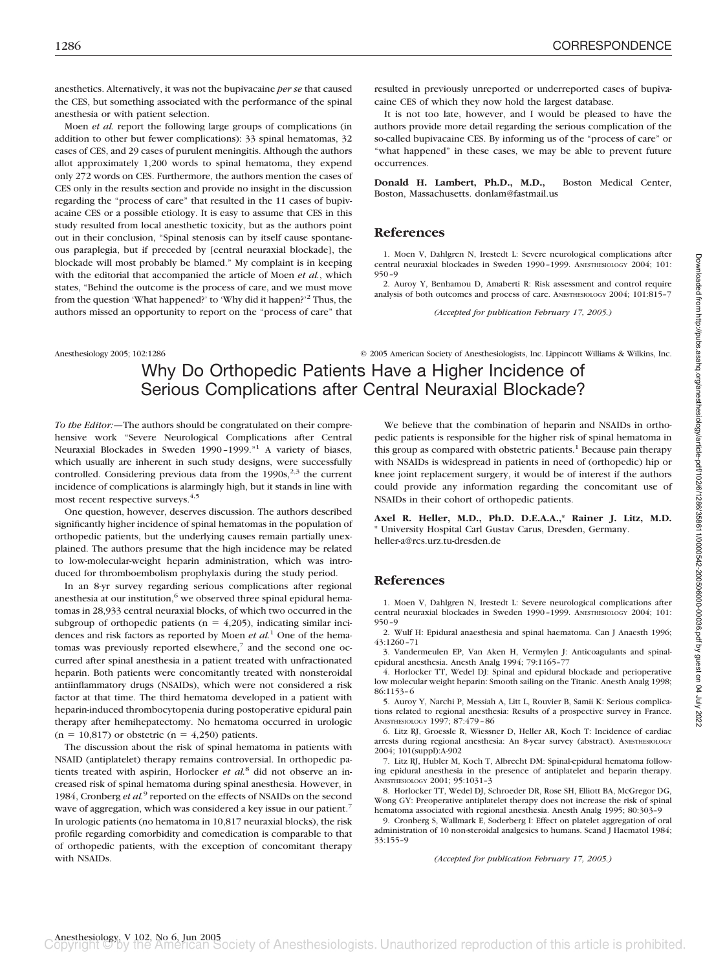anesthetics. Alternatively, it was not the bupivacaine *per se* that caused the CES, but something associated with the performance of the spinal anesthesia or with patient selection.

Moen *et al.* report the following large groups of complications (in addition to other but fewer complications): 33 spinal hematomas, 32 cases of CES, and 29 cases of purulent meningitis. Although the authors allot approximately 1,200 words to spinal hematoma, they expend only 272 words on CES. Furthermore, the authors mention the cases of CES only in the results section and provide no insight in the discussion regarding the "process of care" that resulted in the 11 cases of bupivacaine CES or a possible etiology. It is easy to assume that CES in this study resulted from local anesthetic toxicity, but as the authors point out in their conclusion, "Spinal stenosis can by itself cause spontaneous paraplegia, but if preceded by [central neuraxial blockade], the blockade will most probably be blamed." My complaint is in keeping with the editorial that accompanied the article of Moen *et al.*, which states, "Behind the outcome is the process of care, and we must move from the question 'What happened?' to 'Why did it happen?'2 Thus, the authors missed an opportunity to report on the "process of care" that

resulted in previously unreported or underreported cases of bupivacaine CES of which they now hold the largest database.

It is not too late, however, and I would be pleased to have the authors provide more detail regarding the serious complication of the so-called bupivacaine CES. By informing us of the "process of care" or "what happened" in these cases, we may be able to prevent future occurrences.

**Donald H. Lambert, Ph.D., M.D.,** Boston Medical Center, Boston, Massachusetts. donlam@fastmail.us

## **References**

1. Moen V, Dahlgren N, Irestedt L: Severe neurological complications after central neuraxial blockades in Sweden 1990–1999. ANESTHESIOLOGY 2004; 101: 950–9

2. Auroy Y, Benhamou D, Amaberti R: Risk assessment and control require analysis of both outcomes and process of care. ANESTHESIOLOGY 2004; 101:815–7

*(Accepted for publication February 17, 2005.)*

Anesthesiology 2005; 102:1286 © 2005 American Society of Anesthesiologists, Inc. Lippincott Williams & Wilkins, Inc.

# Why Do Orthopedic Patients Have a Higher Incidence of Serious Complications after Central Neuraxial Blockade?

*To the Editor:—*The authors should be congratulated on their comprehensive work "Severe Neurological Complications after Central Neuraxial Blockades in Sweden 1990-1999."<sup>1</sup> A variety of biases, which usually are inherent in such study designs, were successfully controlled. Considering previous data from the  $1990s^{2,3}$ , the current incidence of complications is alarmingly high, but it stands in line with most recent respective surveys.<sup>4,5</sup>

One question, however, deserves discussion. The authors described significantly higher incidence of spinal hematomas in the population of orthopedic patients, but the underlying causes remain partially unexplained. The authors presume that the high incidence may be related to low-molecular-weight heparin administration, which was introduced for thromboembolism prophylaxis during the study period.

In an 8-yr survey regarding serious complications after regional anesthesia at our institution, $6$  we observed three spinal epidural hematomas in 28,933 central neuraxial blocks, of which two occurred in the subgroup of orthopedic patients ( $n = 4,205$ ), indicating similar incidences and risk factors as reported by Moen *et al.*<sup>1</sup> One of the hematomas was previously reported elsewhere, $\frac{7}{7}$  and the second one occurred after spinal anesthesia in a patient treated with unfractionated heparin. Both patients were concomitantly treated with nonsteroidal antiinflammatory drugs (NSAIDs), which were not considered a risk factor at that time. The third hematoma developed in a patient with heparin-induced thrombocytopenia during postoperative epidural pain therapy after hemihepatectomy. No hematoma occurred in urologic  $(n = 10,817)$  or obstetric  $(n = 4,250)$  patients.

The discussion about the risk of spinal hematoma in patients with NSAID (antiplatelet) therapy remains controversial. In orthopedic patients treated with aspirin, Horlocker *et al.*<sup>8</sup> did not observe an increased risk of spinal hematoma during spinal anesthesia. However, in 1984, Cronberg *et al.*<sup>9</sup> reported on the effects of NSAIDs on the second wave of aggregation, which was considered a key issue in our patient.<sup>7</sup> In urologic patients (no hematoma in 10,817 neuraxial blocks), the risk profile regarding comorbidity and comedication is comparable to that of orthopedic patients, with the exception of concomitant therapy with NSAIDs.

We believe that the combination of heparin and NSAIDs in orthopedic patients is responsible for the higher risk of spinal hematoma in this group as compared with obstetric patients.<sup>1</sup> Because pain therapy with NSAIDs is widespread in patients in need of (orthopedic) hip or knee joint replacement surgery, it would be of interest if the authors could provide any information regarding the concomitant use of NSAIDs in their cohort of orthopedic patients.

**Axel R. Heller, M.D., Ph.D. D.E.A.A.,\* Rainer J. Litz, M.D.** \* University Hospital Carl Gustav Carus, Dresden, Germany. heller-a@rcs.urz.tu-dresden.de

## **References**

1. Moen V, Dahlgren N, Irestedt L: Severe neurological complications after central neuraxial blockades in Sweden 1990–1999. ANESTHESIOLOGY 2004; 101: 950–9

2. Wulf H: Epidural anaesthesia and spinal haematoma. Can J Anaesth 1996; 43:1260–71

3. Vandermeulen EP, Van Aken H, Vermylen J: Anticoagulants and spinalepidural anesthesia. Anesth Analg 1994; 79:1165-7

4. Horlocker TT, Wedel DJ: Spinal and epidural blockade and perioperative low molecular weight heparin: Smooth sailing on the Titanic. Anesth Analg 1998; 86:1153–6

5. Auroy Y, Narchi P, Messiah A, Litt L, Rouvier B, Samii K: Serious complications related to regional anesthesia: Results of a prospective survey in France. ANESTHESIOLOGY 1997; 87:479–86

6. Litz RJ, Groessle R, Wiessner D, Heller AR, Koch T: Incidence of cardiac arrests during regional anesthesia: An 8-year survey (abstract). ANESTHESIOLOGY 2004; 101(suppl):A-902

7. Litz RJ, Hubler M, Koch T, Albrecht DM: Spinal-epidural hematoma following epidural anesthesia in the presence of antiplatelet and heparin therapy. ANESTHESIOLOGY 2001; 95:1031–3

8. Horlocker TT, Wedel DJ, Schroeder DR, Rose SH, Elliott BA, McGregor DG, Wong GY: Preoperative antiplatelet therapy does not increase the risk of spinal hematoma associated with regional anesthesia. Anesth Analg 1995; 80:303–9

9. Cronberg S, Wallmark E, Soderberg I: Effect on platelet aggregation of oral administration of 10 non-steroidal analgesics to humans. Scand J Haematol 1984; 33:155–9

*(Accepted for publication February 17, 2005.)*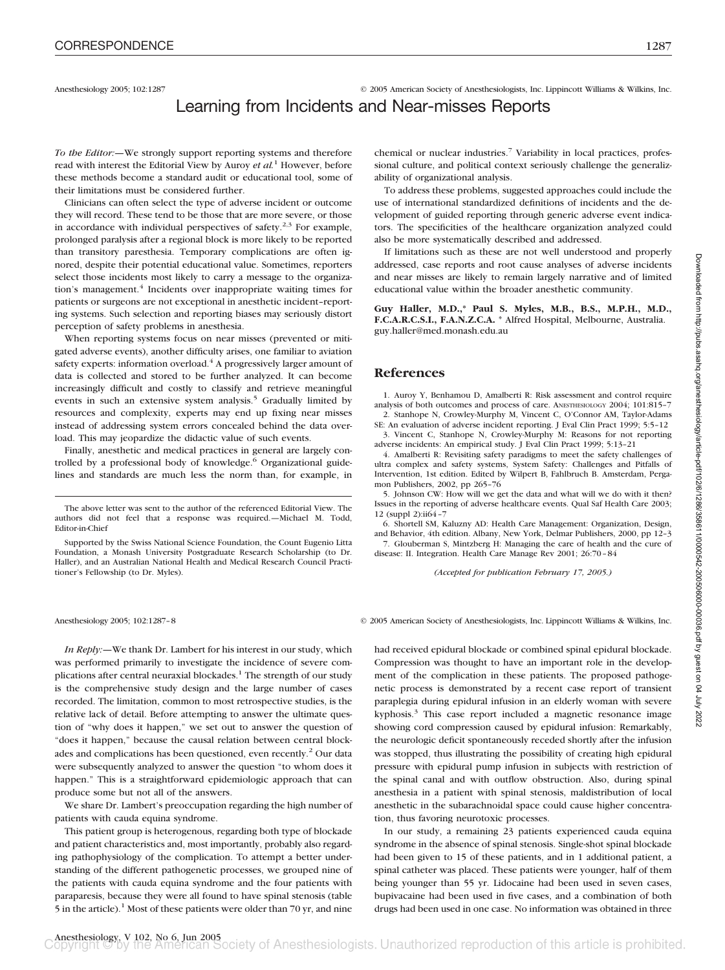Anesthesiology 2005; 102:1287 © 2005 American Society of Anesthesiologists, Inc. Lippincott Williams & Wilkins, Inc.

## Learning from Incidents and Near-misses Reports

*To the Editor:—*We strongly support reporting systems and therefore read with interest the Editorial View by Auroy *et al.*<sup>1</sup> However, before these methods become a standard audit or educational tool, some of their limitations must be considered further.

Clinicians can often select the type of adverse incident or outcome they will record. These tend to be those that are more severe, or those in accordance with individual perspectives of safety.<sup>2,3</sup> For example, prolonged paralysis after a regional block is more likely to be reported than transitory paresthesia. Temporary complications are often ignored, despite their potential educational value. Sometimes, reporters select those incidents most likely to carry a message to the organization's management.<sup>4</sup> Incidents over inappropriate waiting times for patients or surgeons are not exceptional in anesthetic incident–reporting systems. Such selection and reporting biases may seriously distort perception of safety problems in anesthesia.

When reporting systems focus on near misses (prevented or mitigated adverse events), another difficulty arises, one familiar to aviation safety experts: information overload.<sup>4</sup> A progressively larger amount of data is collected and stored to be further analyzed. It can become increasingly difficult and costly to classify and retrieve meaningful events in such an extensive system analysis.<sup>5</sup> Gradually limited by resources and complexity, experts may end up fixing near misses instead of addressing system errors concealed behind the data overload. This may jeopardize the didactic value of such events.

Finally, anesthetic and medical practices in general are largely controlled by a professional body of knowledge.<sup>6</sup> Organizational guidelines and standards are much less the norm than, for example, in

Supported by the Swiss National Science Foundation, the Count Eugenio Litta Foundation, a Monash University Postgraduate Research Scholarship (to Dr. Haller), and an Australian National Health and Medical Research Council Practitioner's Fellowship (to Dr. Myles).

*In Reply:—*We thank Dr. Lambert for his interest in our study, which was performed primarily to investigate the incidence of severe complications after central neuraxial blockades.<sup>1</sup> The strength of our study is the comprehensive study design and the large number of cases recorded. The limitation, common to most retrospective studies, is the relative lack of detail. Before attempting to answer the ultimate question of "why does it happen," we set out to answer the question of "does it happen," because the causal relation between central blockades and complications has been questioned, even recently.<sup>2</sup> Our data were subsequently analyzed to answer the question "to whom does it happen." This is a straightforward epidemiologic approach that can produce some but not all of the answers.

We share Dr. Lambert's preoccupation regarding the high number of patients with cauda equina syndrome.

This patient group is heterogenous, regarding both type of blockade and patient characteristics and, most importantly, probably also regarding pathophysiology of the complication. To attempt a better understanding of the different pathogenetic processes, we grouped nine of the patients with cauda equina syndrome and the four patients with paraparesis, because they were all found to have spinal stenosis (table 5 in the article).<sup>1</sup> Most of these patients were older than 70 yr, and nine chemical or nuclear industries.<sup>7</sup> Variability in local practices, professional culture, and political context seriously challenge the generalizability of organizational analysis.

To address these problems, suggested approaches could include the use of international standardized definitions of incidents and the development of guided reporting through generic adverse event indicators. The specificities of the healthcare organization analyzed could also be more systematically described and addressed.

If limitations such as these are not well understood and properly addressed, case reports and root cause analyses of adverse incidents and near misses are likely to remain largely narrative and of limited educational value within the broader anesthetic community.

**Guy Haller, M.D.,\* Paul S. Myles, M.B., B.S., M.P.H., M.D., F.C.A.R.C.S.I., F.A.N.Z.C.A.** \* Alfred Hospital, Melbourne, Australia. guy.haller@med.monash.edu.au

## **References**

1. Auroy Y, Benhamou D, Amalberti R: Risk assessment and control require analysis of both outcomes and process of care. ANESTHESIOLOGY 2004; 101:815–7 2. Stanhope N, Crowley-Murphy M, Vincent C, O'Connor AM, Taylor-Adams

SE: An evaluation of adverse incident reporting. J Eval Clin Pract 1999; 5:5–12 3. Vincent C, Stanhope N, Crowley-Murphy M: Reasons for not reporting adverse incidents: An empirical study. J Eval Clin Pract 1999; 5:13–21

4. Amalberti R: Revisiting safety paradigms to meet the safety challenges of ultra complex and safety systems, System Safety: Challenges and Pitfalls of Intervention, 1st edition. Edited by Wilpert B, Fahlbruch B. Amsterdam, Pergamon Publishers, 2002, pp 265–76

5. Johnson CW: How will we get the data and what will we do with it then? Issues in the reporting of adverse healthcare events. Qual Saf Health Care 2003; 12 (suppl 2):ii64–7

6. Shortell SM, Kaluzny AD: Health Care Management: Organization, Design, and Behavior, 4th edition. Albany, New York, Delmar Publishers, 2000, pp 12–3 7. Glouberman S, Mintzberg H: Managing the care of health and the cure of disease: II. Integration. Health Care Manage Rev 2001; 26:70–84

*(Accepted for publication February 17, 2005.)*

Anesthesiology 2005; 102:1287–8 © 2005 American Society of Anesthesiologists, Inc. Lippincott Williams & Wilkins, Inc.

had received epidural blockade or combined spinal epidural blockade. Compression was thought to have an important role in the development of the complication in these patients. The proposed pathogenetic process is demonstrated by a recent case report of transient paraplegia during epidural infusion in an elderly woman with severe kyphosis.<sup>3</sup> This case report included a magnetic resonance image showing cord compression caused by epidural infusion: Remarkably, the neurologic deficit spontaneously receded shortly after the infusion was stopped, thus illustrating the possibility of creating high epidural pressure with epidural pump infusion in subjects with restriction of the spinal canal and with outflow obstruction. Also, during spinal anesthesia in a patient with spinal stenosis, maldistribution of local anesthetic in the subarachnoidal space could cause higher concentration, thus favoring neurotoxic processes.

In our study, a remaining 23 patients experienced cauda equina syndrome in the absence of spinal stenosis. Single-shot spinal blockade had been given to 15 of these patients, and in 1 additional patient, a spinal catheter was placed. These patients were younger, half of them being younger than 55 yr. Lidocaine had been used in seven cases, bupivacaine had been used in five cases, and a combination of both drugs had been used in one case. No information was obtained in three

The above letter was sent to the author of the referenced Editorial View. The authors did not feel that a response was required.—Michael M. Todd, Editor-in-Chief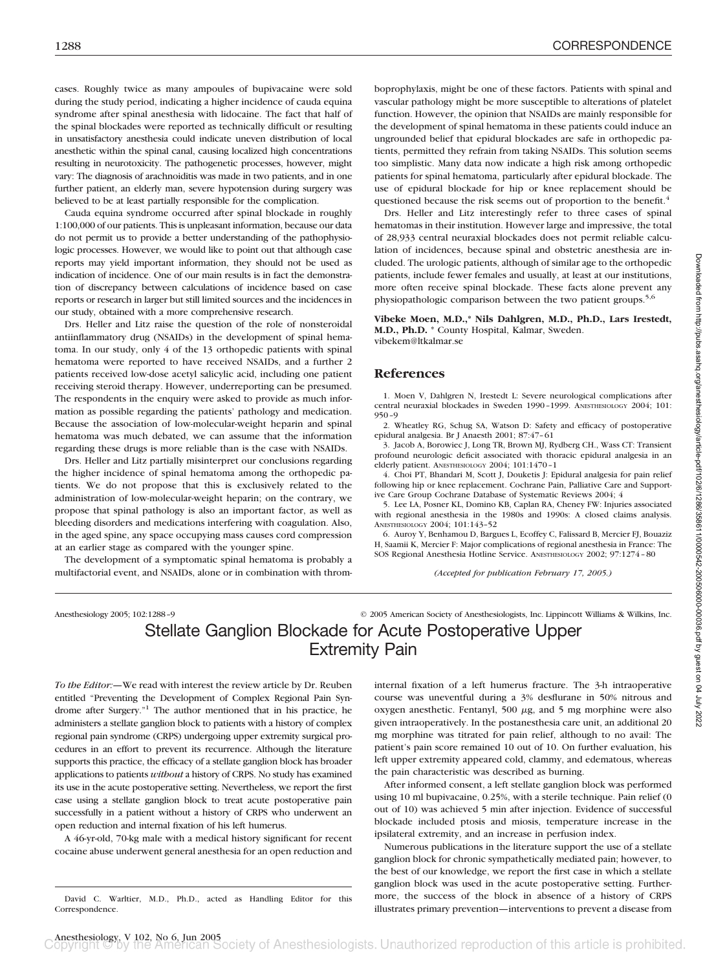cases. Roughly twice as many ampoules of bupivacaine were sold during the study period, indicating a higher incidence of cauda equina syndrome after spinal anesthesia with lidocaine. The fact that half of the spinal blockades were reported as technically difficult or resulting in unsatisfactory anesthesia could indicate uneven distribution of local anesthetic within the spinal canal, causing localized high concentrations resulting in neurotoxicity. The pathogenetic processes, however, might vary: The diagnosis of arachnoiditis was made in two patients, and in one further patient, an elderly man, severe hypotension during surgery was believed to be at least partially responsible for the complication.

Cauda equina syndrome occurred after spinal blockade in roughly 1:100,000 of our patients. This is unpleasant information, because our data do not permit us to provide a better understanding of the pathophysiologic processes. However, we would like to point out that although case reports may yield important information, they should not be used as indication of incidence. One of our main results is in fact the demonstration of discrepancy between calculations of incidence based on case reports or research in larger but still limited sources and the incidences in our study, obtained with a more comprehensive research.

Drs. Heller and Litz raise the question of the role of nonsteroidal antiinflammatory drug (NSAIDs) in the development of spinal hematoma. In our study, only 4 of the 13 orthopedic patients with spinal hematoma were reported to have received NSAIDs, and a further 2 patients received low-dose acetyl salicylic acid, including one patient receiving steroid therapy. However, underreporting can be presumed. The respondents in the enquiry were asked to provide as much information as possible regarding the patients' pathology and medication. Because the association of low-molecular-weight heparin and spinal hematoma was much debated, we can assume that the information regarding these drugs is more reliable than is the case with NSAIDs.

Drs. Heller and Litz partially misinterpret our conclusions regarding the higher incidence of spinal hematoma among the orthopedic patients. We do not propose that this is exclusively related to the administration of low-molecular-weight heparin; on the contrary, we propose that spinal pathology is also an important factor, as well as bleeding disorders and medications interfering with coagulation. Also, in the aged spine, any space occupying mass causes cord compression at an earlier stage as compared with the younger spine.

The development of a symptomatic spinal hematoma is probably a multifactorial event, and NSAIDs, alone or in combination with thromboprophylaxis, might be one of these factors. Patients with spinal and vascular pathology might be more susceptible to alterations of platelet function. However, the opinion that NSAIDs are mainly responsible for the development of spinal hematoma in these patients could induce an ungrounded belief that epidural blockades are safe in orthopedic patients, permitted they refrain from taking NSAIDs. This solution seems too simplistic. Many data now indicate a high risk among orthopedic patients for spinal hematoma, particularly after epidural blockade. The use of epidural blockade for hip or knee replacement should be questioned because the risk seems out of proportion to the benefit.<sup>4</sup>

Drs. Heller and Litz interestingly refer to three cases of spinal hematomas in their institution. However large and impressive, the total of 28,933 central neuraxial blockades does not permit reliable calculation of incidences, because spinal and obstetric anesthesia are included. The urologic patients, although of similar age to the orthopedic patients, include fewer females and usually, at least at our institutions, more often receive spinal blockade. These facts alone prevent any physiopathologic comparison between the two patient groups.<sup>5,6</sup>

**Vibeke Moen, M.D.,\* Nils Dahlgren, M.D., Ph.D., Lars Irestedt, M.D., Ph.D.** \* County Hospital, Kalmar, Sweden. vibekem@ltkalmar.se

## **References**

1. Moen V, Dahlgren N, Irestedt L: Severe neurological complications after central neuraxial blockades in Sweden 1990–1999. ANESTHESIOLOGY 2004; 101: 950–9

2. Wheatley RG, Schug SA, Watson D: Safety and efficacy of postoperative epidural analgesia. Br J Anaesth 2001; 87:47–61

3. Jacob A, Borowiec J, Long TR, Brown MJ, Rydberg CH., Wass CT: Transient profound neurologic deficit associated with thoracic epidural analgesia in an elderly patient. ANESTHESIOLOGY 2004; 101:1470–1

4. Choi PT, Bhandari M, Scott J, Douketis J: Epidural analgesia for pain relief following hip or knee replacement. Cochrane Pain, Palliative Care and Supportive Care Group Cochrane Database of Systematic Reviews 2004; 4

5. Lee LA, Posner KL, Domino KB, Caplan RA, Cheney FW: Injuries associated with regional anesthesia in the 1980s and 1990s: A closed claims analysis. ANESTHESIOLOGY 2004; 101:143–52

6. Auroy Y, Benhamou D, Bargues L, Ecoffey C, Falissard B, Mercier FJ, Bouaziz H, Saamii K, Mercier F: Major complications of regional anesthesia in France: The SOS Regional Anesthesia Hotline Service. ANESTHESIOLOGY 2002; 97:1274–80

*(Accepted for publication February 17, 2005.)*

Anesthesiology 2005; 102:1288–9 © 2005 American Society of Anesthesiologists, Inc. Lippincott Williams & Wilkins, Inc. Stellate Ganglion Blockade for Acute Postoperative Upper Extremity Pain

*To the Editor:—*We read with interest the review article by Dr. Reuben entitled "Preventing the Development of Complex Regional Pain Syndrome after Surgery."1 The author mentioned that in his practice, he administers a stellate ganglion block to patients with a history of complex regional pain syndrome (CRPS) undergoing upper extremity surgical procedures in an effort to prevent its recurrence. Although the literature supports this practice, the efficacy of a stellate ganglion block has broader applications to patients *without* a history of CRPS. No study has examined its use in the acute postoperative setting. Nevertheless, we report the first case using a stellate ganglion block to treat acute postoperative pain successfully in a patient without a history of CRPS who underwent an open reduction and internal fixation of his left humerus.

A 46-yr-old, 70-kg male with a medical history significant for recent cocaine abuse underwent general anesthesia for an open reduction and

David C. Warltier, M.D., Ph.D., acted as Handling Editor for this Correspondence.

internal fixation of a left humerus fracture. The 3-h intraoperative course was uneventful during a 3% desflurane in 50% nitrous and oxygen anesthetic. Fentanyl, 500  $\mu$ g, and 5 mg morphine were also given intraoperatively. In the postanesthesia care unit, an additional 20 mg morphine was titrated for pain relief, although to no avail: The patient's pain score remained 10 out of 10. On further evaluation, his left upper extremity appeared cold, clammy, and edematous, whereas the pain characteristic was described as burning.

After informed consent, a left stellate ganglion block was performed using 10 ml bupivacaine, 0.25%, with a sterile technique. Pain relief (0 out of 10) was achieved 5 min after injection. Evidence of successful blockade included ptosis and miosis, temperature increase in the ipsilateral extremity, and an increase in perfusion index.

Numerous publications in the literature support the use of a stellate ganglion block for chronic sympathetically mediated pain; however, to the best of our knowledge, we report the first case in which a stellate ganglion block was used in the acute postoperative setting. Furthermore, the success of the block in absence of a history of CRPS illustrates primary prevention—interventions to prevent a disease from

Anesthesiology, V 102, No 6, Jun 2005<br>Copyright © by the American Society of Anesthesiologists. Unauthorized reproduction of this article is prohibited.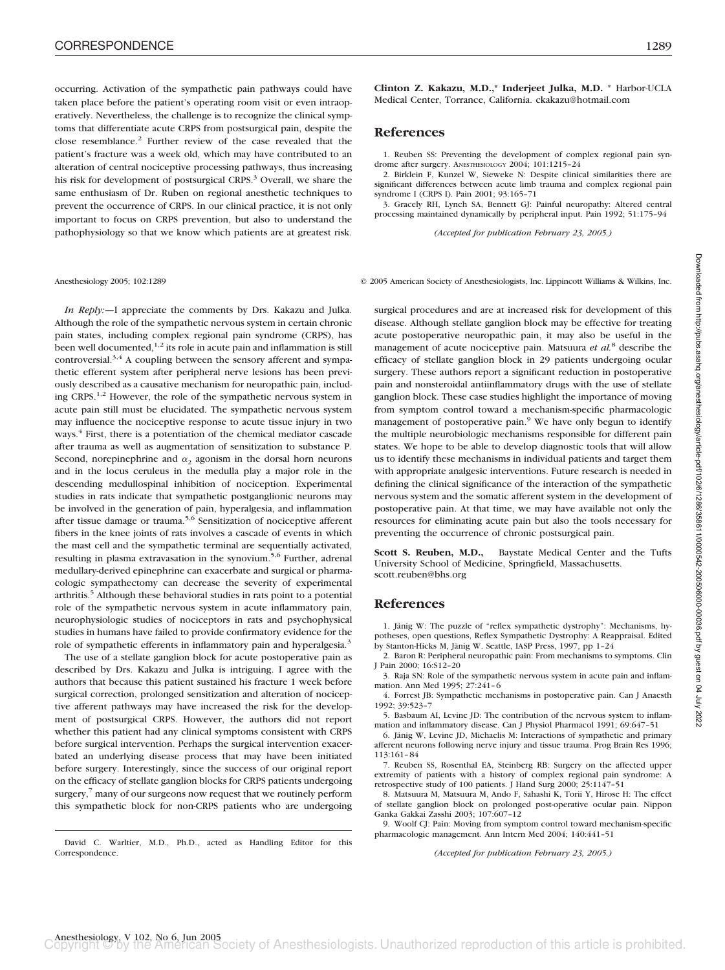occurring. Activation of the sympathetic pain pathways could have taken place before the patient's operating room visit or even intraoperatively. Nevertheless, the challenge is to recognize the clinical symptoms that differentiate acute CRPS from postsurgical pain, despite the close resemblance.2 Further review of the case revealed that the patient's fracture was a week old, which may have contributed to an alteration of central nociceptive processing pathways, thus increasing his risk for development of postsurgical CRPS.<sup>3</sup> Overall, we share the same enthusiasm of Dr. Ruben on regional anesthetic techniques to prevent the occurrence of CRPS. In our clinical practice, it is not only important to focus on CRPS prevention, but also to understand the pathophysiology so that we know which patients are at greatest risk.

*In Reply:—*I appreciate the comments by Drs. Kakazu and Julka. Although the role of the sympathetic nervous system in certain chronic pain states, including complex regional pain syndrome (CRPS), has been well documented,<sup>1,2</sup> its role in acute pain and inflammation is still controversial.<sup>3,4</sup> A coupling between the sensory afferent and sympathetic efferent system after peripheral nerve lesions has been previously described as a causative mechanism for neuropathic pain, including CRPS.1,2 However, the role of the sympathetic nervous system in acute pain still must be elucidated. The sympathetic nervous system may influence the nociceptive response to acute tissue injury in two ways.<sup>4</sup> First, there is a potentiation of the chemical mediator cascade after trauma as well as augmentation of sensitization to substance P. Second, norepinephrine and  $\alpha_2$  agonism in the dorsal horn neurons and in the locus ceruleus in the medulla play a major role in the descending medullospinal inhibition of nociception. Experimental studies in rats indicate that sympathetic postganglionic neurons may be involved in the generation of pain, hyperalgesia, and inflammation after tissue damage or trauma.5,6 Sensitization of nociceptive afferent fibers in the knee joints of rats involves a cascade of events in which the mast cell and the sympathetic terminal are sequentially activated, resulting in plasma extravasation in the synovium.<sup>5,6</sup> Further, adrenal medullary-derived epinephrine can exacerbate and surgical or pharmacologic sympathectomy can decrease the severity of experimental arthritis.<sup>5</sup> Although these behavioral studies in rats point to a potential role of the sympathetic nervous system in acute inflammatory pain, neurophysiologic studies of nociceptors in rats and psychophysical studies in humans have failed to provide confirmatory evidence for the role of sympathetic efferents in inflammatory pain and hyperalgesia.<sup>3</sup>

The use of a stellate ganglion block for acute postoperative pain as described by Drs. Kakazu and Julka is intriguing. I agree with the authors that because this patient sustained his fracture 1 week before surgical correction, prolonged sensitization and alteration of nociceptive afferent pathways may have increased the risk for the development of postsurgical CRPS. However, the authors did not report whether this patient had any clinical symptoms consistent with CRPS before surgical intervention. Perhaps the surgical intervention exacerbated an underlying disease process that may have been initiated before surgery. Interestingly, since the success of our original report on the efficacy of stellate ganglion blocks for CRPS patients undergoing surgery,<sup>7</sup> many of our surgeons now request that we routinely perform this sympathetic block for non-CRPS patients who are undergoing

David C. Warltier, M.D., Ph.D., acted as Handling Editor for this Correspondence.

**Clinton Z. Kakazu, M.D.,\* Inderjeet Julka, M.D.** \* Harbor-UCLA Medical Center, Torrance, California. ckakazu@hotmail.com

## **References**

1. Reuben SS: Preventing the development of complex regional pain syndrome after surgery. ANESTHESIOLOGY 2004; 101:1215–24

2. Birklein F, Kunzel W, Sieweke N: Despite clinical similarities there are significant differences between acute limb trauma and complex regional pain syndrome I (CRPS I). Pain 2001; 93:165–71

3. Gracely RH, Lynch SA, Bennett GJ: Painful neuropathy: Altered central processing maintained dynamically by peripheral input. Pain 1992; 51:175–94

*(Accepted for publication February 23, 2005.)*

Anesthesiology 2005; 102:1289 © 2005 American Society of Anesthesiologists, Inc. Lippincott Williams & Wilkins, Inc.

surgical procedures and are at increased risk for development of this disease. Although stellate ganglion block may be effective for treating acute postoperative neuropathic pain, it may also be useful in the management of acute nociceptive pain. Matsuura *et al.*<sup>8</sup> describe the efficacy of stellate ganglion block in 29 patients undergoing ocular surgery. These authors report a significant reduction in postoperative pain and nonsteroidal antiinflammatory drugs with the use of stellate ganglion block. These case studies highlight the importance of moving from symptom control toward a mechanism-specific pharmacologic management of postoperative pain.<sup>9</sup> We have only begun to identify the multiple neurobiologic mechanisms responsible for different pain states. We hope to be able to develop diagnostic tools that will allow us to identify these mechanisms in individual patients and target them with appropriate analgesic interventions. Future research is needed in defining the clinical significance of the interaction of the sympathetic nervous system and the somatic afferent system in the development of postoperative pain. At that time, we may have available not only the resources for eliminating acute pain but also the tools necessary for preventing the occurrence of chronic postsurgical pain.

**Scott S. Reuben, M.D.,** Baystate Medical Center and the Tufts University School of Medicine, Springfield, Massachusetts. scott.reuben@bhs.org

### **References**

1. Jänig W: The puzzle of "reflex sympathetic dystrophy": Mechanisms, hypotheses, open questions, Reflex Sympathetic Dystrophy: A Reappraisal. Edited by Stanton-Hicks M, Jänig W. Seattle, IASP Press, 1997, pp 1–24

2. Baron R: Peripheral neuropathic pain: From mechanisms to symptoms. Clin J Pain 2000; 16:S12–20

3. Raja SN: Role of the sympathetic nervous system in acute pain and inflammation. Ann Med 1995; 27:241–6

4. Forrest JB: Sympathetic mechanisms in postoperative pain. Can J Anaesth 1992; 39:523–7

5. Basbaum AI, Levine JD: The contribution of the nervous system to inflammation and inflammatory disease. Can J Physiol Pharmacol 1991; 69:647–51

6. Jänig W, Levine JD, Michaelis M: Interactions of sympathetic and primary afferent neurons following nerve injury and tissue trauma. Prog Brain Res 1996; 113:161–84

7. Reuben SS, Rosenthal EA, Steinberg RB: Surgery on the affected upper extremity of patients with a history of complex regional pain syndrome: A retrospective study of 100 patients. J Hand Surg 2000; 25:1147–51

8. Matsuura M, Matsuura M, Ando F, Sahashi K, Torii Y, Hirose H: The effect of stellate ganglion block on prolonged post-operative ocular pain. Nippon Ganka Gakkai Zasshi 2003; 107:607–12

9. Woolf CJ: Pain: Moving from symptom control toward mechanism-specific pharmacologic management. Ann Intern Med 2004; 140:441–51

*(Accepted for publication February 23, 2005.)*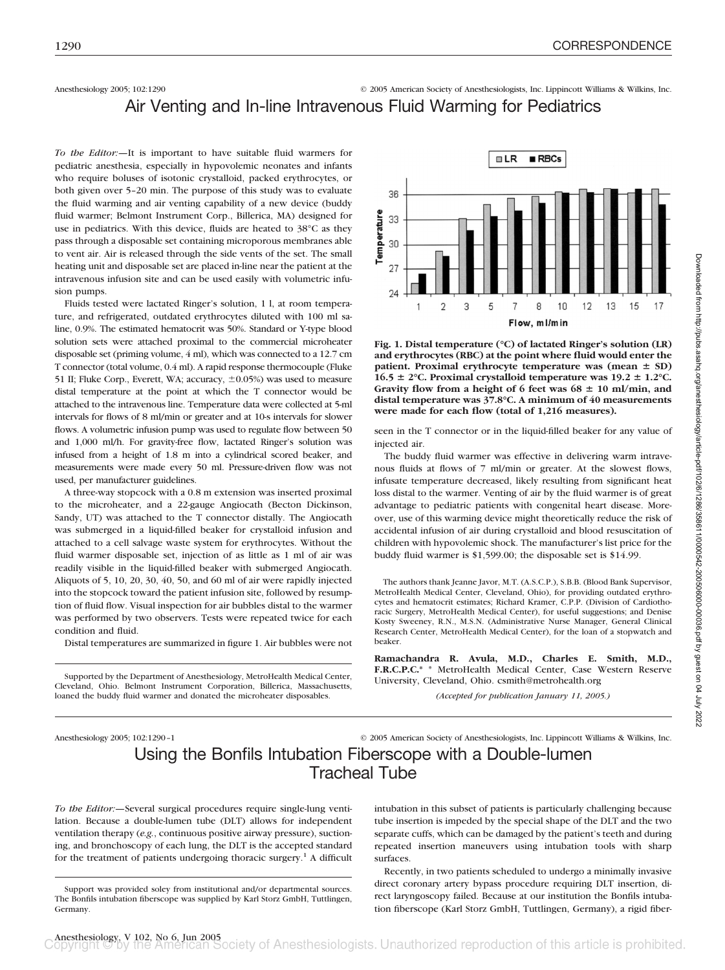Anesthesiology 2005; 102:1290 © 2005 American Society of Anesthesiologists, Inc. Lippincott Williams & Wilkins, Inc.

# Air Venting and In-line Intravenous Fluid Warming for Pediatrics

*To the Editor:—*It is important to have suitable fluid warmers for pediatric anesthesia, especially in hypovolemic neonates and infants who require boluses of isotonic crystalloid, packed erythrocytes, or both given over 5–20 min. The purpose of this study was to evaluate the fluid warming and air venting capability of a new device (buddy fluid warmer; Belmont Instrument Corp., Billerica, MA) designed for use in pediatrics. With this device, fluids are heated to 38°C as they pass through a disposable set containing microporous membranes able to vent air. Air is released through the side vents of the set. The small heating unit and disposable set are placed in-line near the patient at the intravenous infusion site and can be used easily with volumetric infusion pumps.

Fluids tested were lactated Ringer's solution, 1 l, at room temperature, and refrigerated, outdated erythrocytes diluted with 100 ml saline, 0.9%. The estimated hematocrit was 50%. Standard or Y-type blood solution sets were attached proximal to the commercial microheater disposable set (priming volume, 4 ml), which was connected to a 12.7 cm T connector (total volume, 0.4 ml). A rapid response thermocouple (Fluke 51 II; Fluke Corp., Everett, WA; accuracy,  $\pm 0.05$ %) was used to measure distal temperature at the point at which the T connector would be attached to the intravenous line. Temperature data were collected at 5-ml intervals for flows of 8 ml/min or greater and at 10-s intervals for slower flows. A volumetric infusion pump was used to regulate flow between 50 and 1,000 ml/h. For gravity-free flow, lactated Ringer's solution was infused from a height of 1.8 m into a cylindrical scored beaker, and measurements were made every 50 ml. Pressure-driven flow was not used, per manufacturer guidelines.

A three-way stopcock with a 0.8 m extension was inserted proximal to the microheater, and a 22-gauge Angiocath (Becton Dickinson, Sandy, UT) was attached to the T connector distally. The Angiocath was submerged in a liquid-filled beaker for crystalloid infusion and attached to a cell salvage waste system for erythrocytes. Without the fluid warmer disposable set, injection of as little as 1 ml of air was readily visible in the liquid-filled beaker with submerged Angiocath. Aliquots of 5, 10, 20, 30, 40, 50, and 60 ml of air were rapidly injected into the stopcock toward the patient infusion site, followed by resumption of fluid flow. Visual inspection for air bubbles distal to the warmer was performed by two observers. Tests were repeated twice for each condition and fluid.

Distal temperatures are summarized in figure 1. Air bubbles were not

Supported by the Department of Anesthesiology, MetroHealth Medical Center, Cleveland, Ohio. Belmont Instrument Corporation, Billerica, Massachusetts, loaned the buddy fluid warmer and donated the microheater disposables.



**Fig. 1. Distal temperature (°C) of lactated Ringer's solution (LR) and erythrocytes (RBC) at the point where fluid would enter the patient. Proximal erythrocyte temperature was (mean SD)**  $16.5 \pm 2$ °C. Proximal crystalloid temperature was  $19.2 \pm 1.2$ °C. Gravity flow from a height of 6 feet was  $68 \pm 10$  ml/min, and **distal temperature was 37.8°C. A minimum of 40 measurements were made for each flow (total of 1,216 measures).**

seen in the T connector or in the liquid-filled beaker for any value of injected air.

The buddy fluid warmer was effective in delivering warm intravenous fluids at flows of 7 ml/min or greater. At the slowest flows, infusate temperature decreased, likely resulting from significant heat loss distal to the warmer. Venting of air by the fluid warmer is of great advantage to pediatric patients with congenital heart disease. Moreover, use of this warming device might theoretically reduce the risk of accidental infusion of air during crystalloid and blood resuscitation of children with hypovolemic shock. The manufacturer's list price for the buddy fluid warmer is \$1,599.00; the disposable set is \$14.99.

The authors thank Jeanne Javor, M.T. (A.S.C.P.), S.B.B. (Blood Bank Supervisor, MetroHealth Medical Center, Cleveland, Ohio), for providing outdated erythrocytes and hematocrit estimates; Richard Kramer, C.P.P. (Division of Cardiothoracic Surgery, MetroHealth Medical Center), for useful suggestions; and Denise Kosty Sweeney, R.N., M.S.N. (Administrative Nurse Manager, General Clinical Research Center, MetroHealth Medical Center), for the loan of a stopwatch and beaker.

**Ramachandra R. Avula, M.D., Charles E. Smith, M.D., F.R.C.P.C.\*** \* MetroHealth Medical Center, Case Western Reserve University, Cleveland, Ohio. csmith@metrohealth.org

*(Accepted for publication January 11, 2005.)*

Anesthesiology 2005; 102:1290–1 © 2005 American Society of Anesthesiologists, Inc. Lippincott Williams & Wilkins, Inc.

# Using the Bonfils Intubation Fiberscope with a Double-lumen Tracheal Tube

*To the Editor:—*Several surgical procedures require single-lung ventilation. Because a double-lumen tube (DLT) allows for independent ventilation therapy (*e.g.*, continuous positive airway pressure), suctioning, and bronchoscopy of each lung, the DLT is the accepted standard for the treatment of patients undergoing thoracic surgery.<sup>1</sup> A difficult intubation in this subset of patients is particularly challenging because tube insertion is impeded by the special shape of the DLT and the two separate cuffs, which can be damaged by the patient's teeth and during repeated insertion maneuvers using intubation tools with sharp surfaces.

Recently, in two patients scheduled to undergo a minimally invasive direct coronary artery bypass procedure requiring DLT insertion, direct laryngoscopy failed. Because at our institution the Bonfils intubation fiberscope (Karl Storz GmbH, Tuttlingen, Germany), a rigid fiber-

Anesthesiology, V 102, No 6, Jun 2005<br>Copyright © by the American Society of Anesthesiologists. Unauthorized reproduction of this article is prohibited.

Support was provided soley from institutional and/or departmental sources. The Bonfils intubation fiberscope was supplied by Karl Storz GmbH, Tuttlingen, Germany.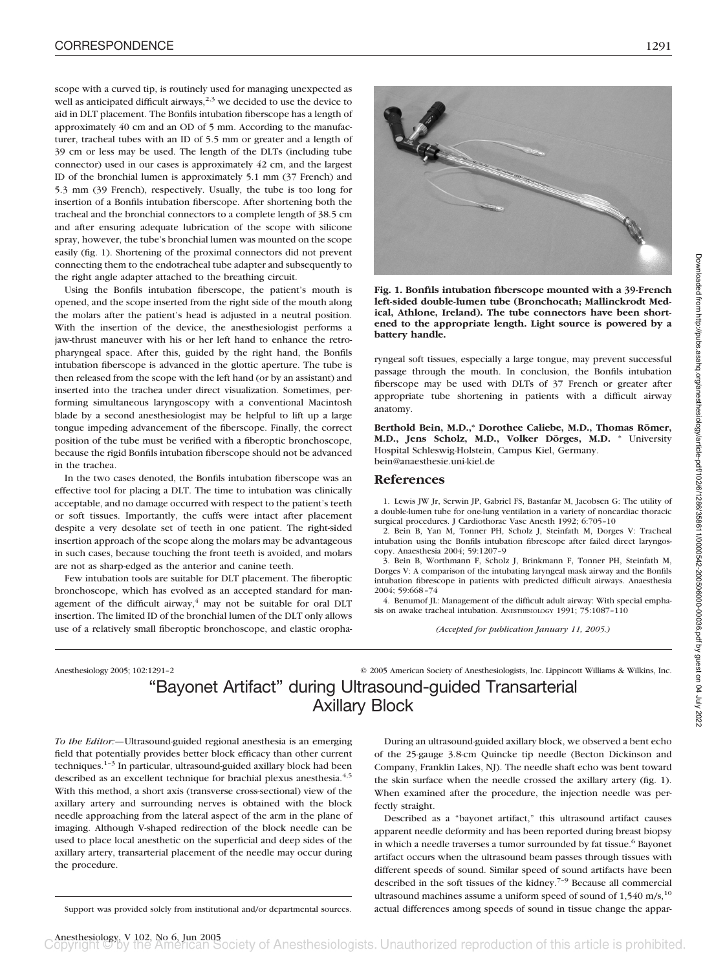scope with a curved tip, is routinely used for managing unexpected as well as anticipated difficult airways, $2,3$  we decided to use the device to aid in DLT placement. The Bonfils intubation fiberscope has a length of approximately 40 cm and an OD of 5 mm. According to the manufacturer, tracheal tubes with an ID of 5.5 mm or greater and a length of 39 cm or less may be used. The length of the DLTs (including tube connector) used in our cases is approximately 42 cm, and the largest ID of the bronchial lumen is approximately 5.1 mm (37 French) and 5.3 mm (39 French), respectively. Usually, the tube is too long for insertion of a Bonfils intubation fiberscope. After shortening both the tracheal and the bronchial connectors to a complete length of 38.5 cm and after ensuring adequate lubrication of the scope with silicone spray, however, the tube's bronchial lumen was mounted on the scope easily (fig. 1). Shortening of the proximal connectors did not prevent connecting them to the endotracheal tube adapter and subsequently to the right angle adapter attached to the breathing circuit.

Using the Bonfils intubation fiberscope, the patient's mouth is opened, and the scope inserted from the right side of the mouth along the molars after the patient's head is adjusted in a neutral position. With the insertion of the device, the anesthesiologist performs a jaw-thrust maneuver with his or her left hand to enhance the retropharyngeal space. After this, guided by the right hand, the Bonfils intubation fiberscope is advanced in the glottic aperture. The tube is then released from the scope with the left hand (or by an assistant) and inserted into the trachea under direct visualization. Sometimes, performing simultaneous laryngoscopy with a conventional Macintosh blade by a second anesthesiologist may be helpful to lift up a large tongue impeding advancement of the fiberscope. Finally, the correct position of the tube must be verified with a fiberoptic bronchoscope, because the rigid Bonfils intubation fiberscope should not be advanced in the trachea.

In the two cases denoted, the Bonfils intubation fiberscope was an effective tool for placing a DLT. The time to intubation was clinically acceptable, and no damage occurred with respect to the patient's teeth or soft tissues. Importantly, the cuffs were intact after placement despite a very desolate set of teeth in one patient. The right-sided insertion approach of the scope along the molars may be advantageous in such cases, because touching the front teeth is avoided, and molars are not as sharp-edged as the anterior and canine teeth.

Few intubation tools are suitable for DLT placement. The fiberoptic bronchoscope, which has evolved as an accepted standard for management of the difficult airway, $4$  may not be suitable for oral DLT insertion. The limited ID of the bronchial lumen of the DLT only allows use of a relatively small fiberoptic bronchoscope, and elastic oropha-



**Fig. 1. Bonfils intubation fiberscope mounted with a 39-French left-sided double-lumen tube (Bronchocath; Mallinckrodt Medical, Athlone, Ireland). The tube connectors have been shortened to the appropriate length. Light source is powered by a battery handle.**

ryngeal soft tissues, especially a large tongue, may prevent successful passage through the mouth. In conclusion, the Bonfils intubation fiberscope may be used with DLTs of 37 French or greater after appropriate tube shortening in patients with a difficult airway anatomy.

**Berthold Bein, M.D.,\* Dorothee Caliebe, M.D., Thomas Römer, M.D., Jens Scholz, M.D., Volker Dörges, M.D.** \* University Hospital Schleswig-Holstein, Campus Kiel, Germany. bein@anaesthesie.uni-kiel.de

### **References**

1. Lewis JW Jr, Serwin JP, Gabriel FS, Bastanfar M, Jacobsen G: The utility of a double-lumen tube for one-lung ventilation in a variety of noncardiac thoracic surgical procedures. J Cardiothorac Vasc Anesth 1992; 6:705-10

2. Bein B, Yan M, Tonner PH, Scholz J, Steinfath M, Dorges V: Tracheal intubation using the Bonfils intubation fibrescope after failed direct laryngoscopy. Anaesthesia 2004; 59:1207–9

3. Bein B, Worthmann F, Scholz J, Brinkmann F, Tonner PH, Steinfath M, Dorges V: A comparison of the intubating laryngeal mask airway and the Bonfils intubation fibrescope in patients with predicted difficult airways. Anaesthesia 2004; 59:668–74

4. Benumof JL: Management of the difficult adult airway: With special emphasis on awake tracheal intubation. ANESTHESIOLOGY 1991; 75:1087–110

*(Accepted for publication January 11, 2005.)*

Anesthesiology 2005; 102:1291-2 © 2005 American Society of Anesthesiologists, Inc. Lippincott Williams & Wilkins, Inc.

## "Bayonet Artifact" during Ultrasound-guided Transarterial Axillary Block

*To the Editor:—*Ultrasound-guided regional anesthesia is an emerging field that potentially provides better block efficacy than other current techniques.1–3 In particular, ultrasound-guided axillary block had been described as an excellent technique for brachial plexus anesthesia.<sup>4,5</sup> With this method, a short axis (transverse cross-sectional) view of the axillary artery and surrounding nerves is obtained with the block needle approaching from the lateral aspect of the arm in the plane of imaging. Although V-shaped redirection of the block needle can be used to place local anesthetic on the superficial and deep sides of the axillary artery, transarterial placement of the needle may occur during the procedure.

During an ultrasound-guided axillary block, we observed a bent echo of the 25-gauge 3.8-cm Quincke tip needle (Becton Dickinson and Company, Franklin Lakes, NJ). The needle shaft echo was bent toward the skin surface when the needle crossed the axillary artery (fig. 1). When examined after the procedure, the injection needle was perfectly straight.

Described as a "bayonet artifact," this ultrasound artifact causes apparent needle deformity and has been reported during breast biopsy in which a needle traverses a tumor surrounded by fat tissue.<sup>6</sup> Bayonet artifact occurs when the ultrasound beam passes through tissues with different speeds of sound. Similar speed of sound artifacts have been described in the soft tissues of the kidney.<sup>7-9</sup> Because all commercial ultrasound machines assume a uniform speed of sound of  $1,540$  m/s,<sup>10</sup> Support was provided solely from institutional and/or departmental sources. actual differences among speeds of sound in tissue change the appar-